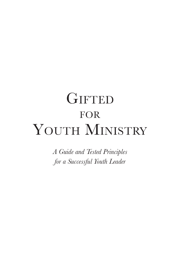# **GIFTED** FOR YOUTH MINISTRY

*A Guide and Tested Principles for a Successful Youth Leader*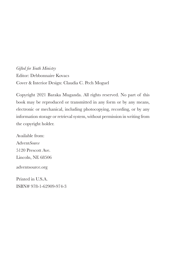*Gifted for Youth Ministry* Editor: Debbonnaire Kovacs Cover & Interior Design: Claudia C. Pech Moguel

Copyright 2021 Baraka Muganda. All rights reserved. No part of this book may be reproduced or transmitted in any form or by any means, electronic or mechanical, including photocopying, recording, or by any information storage or retrieval system, without permission in writing from the copyright holder.

Available from: Advent*Source* 5120 Prescott Ave. Lincoln, NE 68506 adventsource.org

Printed in U.S.A. ISBN# 978-1-62909-974-3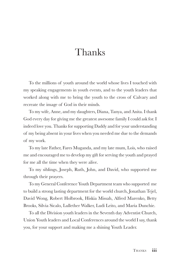### Thanks

To the millions of youth around the world whose lives I touched with my speaking engagements in youth events, and to the youth leaders that worked along with me to bring the youth to the cross of Calvary and recreate the image of God in their minds.

To my wife, Anne, and my daughters, Diana, Tanya, and Anita. I thank God every day for giving me the greatest awesome family I could ask for. I indeed love you. Thanks for supporting Daddy and for your understanding of my being absent in your lives when you needed me due to the demands of my work.

To my late Father, Fares Muganda, and my late mum, Lois, who raised me and encouraged me to develop my gift for serving the youth and prayed for me all the time when they were alive.

To my siblings, Joseph, Ruth, John, and David, who supported me through their prayers.

To my General Conference Youth Department team who supported me to build a strong lasting department for the world church, Jonathan Tejel, David Wong, Robert Holbrook, Hiskia Missah, Alfred Marenko, Betty Brooks, Silvia Sicalo, Lullether Walker, Ludi Leito, and Maria Dunchie.

To all the Division youth leaders in the Seventh day Adventist Church, Union Youth leaders and Local Conferences around the world I say, thank you, for your support and making me a shining Youth Leader.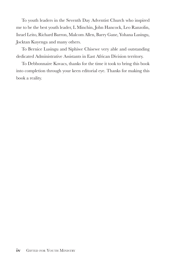To youth leaders in the Seventh Day Adventist Church who inspired me to be the best youth leader, L Minchin, John Hancock, Leo Ranzolin, Israel Leito, Richard Barron, Malcom Allen, Barry Gane, Yohana Lusingu, Jocktan Kuyenga and many others.

To Bernice Lusingu and Siphiwe Chisewe very able and outstanding dedicated Administrative Assistants in East African Division territory.

To Debbonnaire Kovacs, thanks for the time it took to bring this book into completion through your keen editorial eye. Thanks for making this book a reality.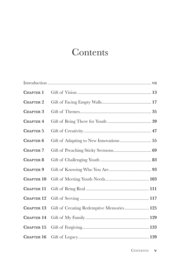### **Contents**

| <b>CHAPTER 1</b>  |                                          |  |
|-------------------|------------------------------------------|--|
| <b>CHAPTER 2</b>  |                                          |  |
| <b>CHAPTER 3</b>  |                                          |  |
| <b>CHAPTER 4</b>  |                                          |  |
| <b>CHAPTER 5</b>  |                                          |  |
| <b>CHAPTER 6</b>  |                                          |  |
| <b>CHAPTER 7</b>  |                                          |  |
| <b>CHAPTER 8</b>  |                                          |  |
| <b>CHAPTER 9</b>  |                                          |  |
| <b>CHAPTER 10</b> |                                          |  |
| <b>CHAPTER 11</b> |                                          |  |
| <b>CHAPTER 12</b> |                                          |  |
| <b>CHAPTER 13</b> | Gift of Creating Redemptive Memories 125 |  |
| <b>CHAPTER 14</b> |                                          |  |
| <b>CHAPTER 15</b> |                                          |  |
| CHAPTER 16        |                                          |  |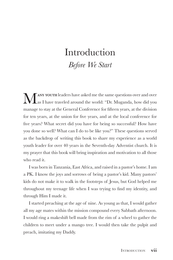## Introduction *Before We Start*

**MANY YOUTH** leaders have asked me the same questions over and over  $\mathbf{A}$  as I have traveled around the world: "Dr. Muganda, how did you manage to stay at the General Conference for fifteen years, at the division for ten years, at the union for five years, and at the local conference for five years? What secret did you have for being so successful? How have you done so well? What can I do to be like you?" These questions served as the backdrop of writing this book to share my experience as a world youth leader for over 40 years in the Seventh-day Adventist church. It is my prayer that this book will bring inspiration and motivation to all those who read it.

I was born in Tanzania, East Africa, and raised in a pastor's home. I am a PK. I know the joys and sorrows of being a pastor's kid. Many pastors' kids do not make it to walk in the footsteps of Jesus, but God helped me throughout my teenage life when I was trying to find my identity, and through Him I made it.

I started preaching at the age of nine. As young as that, I would gather all my age mates within the mission compound every Sabbath afternoon. I would ring a makeshift bell made from the rim of a wheel to gather the children to meet under a mango tree. I would then take the pulpit and preach, imitating my Daddy.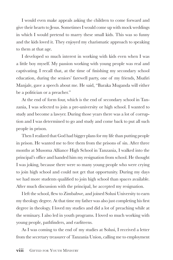I would even make appeals asking the children to come forward and give their hearts to Jesus. Sometimes I would come up with mock weddings in which I would pretend to marry these small kids. This was so funny and the kids loved it. They enjoyed my charismatic approach to speaking to them at that age.

I developed so much interest in working with kids even when I was a little boy myself. My passion working with young people was real and captivating. I recall that, at the time of finishing my secondary school education, during the seniors' farewell party, one of my friends, Msafiri Manjale, gave a speech about me. He said, "Baraka Muganda will either be a politician or a preacher."

At the end of form four, which is the end of secondary school in Tanzania, I was selected to join a pre-university or high school. I wanted to study and become a lawyer. During those years there was a lot of corruption and I was determined to go and study and come back to put all such people in prison.

Then I realized that God had bigger plans for my life than putting people in prison. He wanted me to free them from the prisons of sin. After three months at Musoma Alliance High School in Tanzania, I walked into the principal's office and handed him my resignation from school. He thought I was joking, because there were so many young people who were crying to join high school and could not get that opportunity. During my days we had more students qualified to join high school than spaces available. After much discussion with the principal, he accepted my resignation.

I left the school, flew to Zimbabwe, and joined Solusi University to earn my theology degree. At that time my father was also just completing his first degree in theology. I loved my studies and did a lot of preaching while at the seminary. I also led in youth programs. I loved so much working with young people, pathfinders, and earliteens.

As I was coming to the end of my studies at Solusi, I received a letter from the secretary treasurer of Tanzania Union, calling me to employment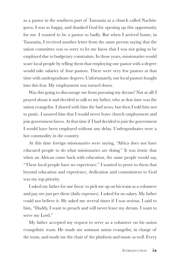as a pastor in the southern part of Tanzania at a church called Nachingwea. I was so happy, and thanked God for opening up this opportunity for me. I wanted to be a pastor so badly. But when I arrived home, in Tanzania, I received another letter from the same person saying that the union committee was so sorry to let me know that I was not going to be employed due to budgetary constraints. In those years, missionaries would scare local people by telling them that employing one pastor with a degree would take salaries of four pastors. There were very few pastors at that time with undergraduate degrees. Unfortunately, our local pastors bought into this fear. My employment was turned down.

Was this going to discourage me from pursuing my dream? Not at all! I prayed about it and decided to talk to my father, who at that time was the union evangelist. I shared with him the bad news, but then I told him not to panic. I assured him that I would never leave church employment and join government forces. At that time if I had decided to join the government I would have been employed without any delay. Undergraduates were a hot commodity in the country.

At this time foreign missionaries were saying, "Africa does not have educated people to do what missionaries are doing." It was ironic that when an African came back with education, the same people would say, "These local people have no experience." I wanted to prove to them that beyond education and experience, dedication and commitment to God was my top priority.

I asked my father for one favor: to pick me up on his team as a volunteer and pay me just per diem (daily expenses). I asked for no salary. My father could not believe it. He asked me several times if I was serious. I said to him, "Daddy, I want to preach and will never leave my dream. I want to serve my Lord."

My father accepted my request to serve as a volunteer on his union evangelistic team. He made me assistant union evangelist, in charge of the team, and made me the chair of the platform and music as well. Every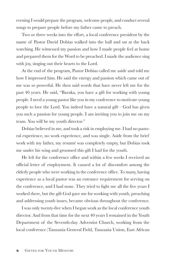evening I would prepare the program, welcome people, and conduct several songs to prepare people before my father came to preach.

Two or three weeks into the effort, a local conference president by the name of Pastor David Dobias walked into the hall and sat at the back watching. He witnessed my passion and how I made people feel at home and prepared them for the Word to be preached. I made the audience sing with joy, singing out their hearts to the Lord.

At the end of the program, Pastor Dobias called me aside and told me how I impressed him. He said the energy and passion which came out of me was so powerful. He then said words that have never left me for the past 40 years. He said, "Baraka, you have a gift for working with young people. I need a young pastor like you in my conference to motivate young people to love the Lord. You indeed have a natural gift—God has given you such a passion for young people. I am inviting you to join me on my team. You will be my youth director."

Dobias believed in me, and took a risk in employing me. I had no pastoral experience, no work experience, and was single. Aside from the brief work with my father, my resumé was completely empty, but Dobias took me under his wing and groomed this gift I had for the youth.

He left for the conference office and within a few weeks I received an official letter of employment. It caused a lot of discomfort among the elderly people who were working in the conference office. To many, having experience as a local pastor was an entrance requirement for serving on the conference, and I had none. They tried to fight me all the five years I worked there, but the gift God gave me for working with youth, preaching and addressing youth issues, became obvious throughout the conference.

I was only twenty-five when I began work as the local conference youth director. And from that time for the next 40 years I remained in the Youth Department of the Seventh-day Adventist Church, working from the local conference (Tanzania General Field, Tanzania Union, East African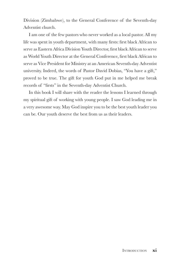Division (Zimbabwe), to the General Conference of the Seventh-day Adventist church.

I am one of the few pastors who never worked as a local pastor. All my life was spent in youth department, with many firsts: first black African to serve as Eastern Africa Division Youth Director, first black African to serve as World Youth Director at the General Conference, first black African to serve as Vice President for Ministry at an American Seventh-day Adventist university. Indeed, the words of Pastor David Dobias, "You have a gift," proved to be true. The gift for youth God put in me helped me break records of "firsts" in the Seventh-day Adventist Church.

In this book I will share with the reader the lessons I learned through my spiritual gift of working with young people. I saw God leading me in a very awesome way. May God inspire you to be the best youth leader you can be. Our youth deserve the best from us as their leaders.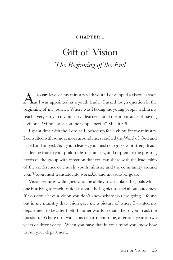#### **CHAPTER 1**

### Gift of Vision *The Beginning of the End*

**A r every** level of my ministry with youth I developed a vision as soon as I was appointed as a youth leader. I asked tough question in the beginning of my journey. Where was I taking the young people within my reach? Very early in my ministry I learned about the importance of having a vision. "Without a vision the people perish" Micah 3:6.

I spent time with the Lord as I looked up for a vision for my ministry. I consulted with some seniors around me, searched the Word of God and fasted and prayed. As a youth leader, you must recognize your strength as a leader, be true to your philosophy of ministry, and respond to the pressing needs of the group with direction that you can share with the leadership of the conference or church, youth ministry and the community around you. Vision must translate into workable and measurable goals.

Vision requires willingness and the ability to articulate the goals which one is striving to reach. Vision is about the big picture and about outcomes. If you don't have a vision you don't know where you are going. I found out in my ministry that vision gave me a picture of where I wanted my department to be after I left. In other words, a vision helps you to ask the question. "Where do I want this department to be, after one year or two years or three years?" When you have that in your mind you know how to run your department.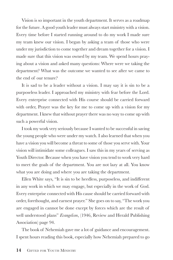Vision is so important in the youth department. It serves as a roadmap for the future. A good youth leader must always start ministry with a vision. Every time before I started running around to do my work I made sure my team knew our vision. I began by asking a team of those who were under my jurisdiction to come together and dream together for a vision. I made sure that this vision was owned by my team. We spend hours praying about a vision and asked many questions: Where were we taking the department? What was the outcome we wanted to see after we came to the end of our tenure?

It is sad to be a leader without a vision. I may say it is sin to be a purposeless leader. I approached my ministry with fear before the Lord. Every enterprise connected with His course should be carried forward with order, Prayer was the key for me to come up with a vision for my department. I knew that without prayer there was no way to come up with such a powerful vision.

I took my work very seriously because I wanted to be successful in saving the young people who were under my watch. I also learned that when you have a vision you will become a threat to some of those you serve with. Your vision will intimidate some colleagues. I saw this in my years of serving as Youth Director. Because when you have vision you tend to work very hard to meet the goals of the department. You are not lazy at all. You know what you are doing and where you are taking the department.

Ellen White says, "It is sin to be heedless, purposeless, and indifferent in any work in which we may engage, but especially in the work of God. Every enterprise connected with His cause should be carried forward with order, forethought, and earnest prayer." She goes on to say, "The work you are engaged in cannot be done except by forces which are the result of well understood plans" *Evangelism*, (1946, Review and Herald Publishing Association) page 94.

The book of Nehemiah gave me a lot of guidance and encouragement. I spent hours reading this book, especially how Nehemiah prepared to go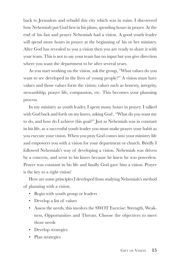back to Jerusalem and rebuild this city which was in ruins. I discovered how Nehemiah put God first in his plans, spending hours in prayer. At the end of his fast and prayer Nehemiah had a vision. A good youth leader will spend more hours in prayer at the beginning of his or her ministry. After God has revealed to you a vision then you are ready to share it with your team. This is not to say your team has no input but you give direction where you want the department to be after several years.

As you start working on the vision, ask the group, "What values do you want to see developed in the lives of young people?" A vision must have values and those values form the vision; values such as honesty, integrity, stewardship, prayer life, compassion, etc. This becomes your planning process.

In my ministry as youth leader, I spent many hours in prayer. I talked with God back and forth on my knees, asking God , "What do you want me to do, and how do I achieve this goal?" Just as Nehemiah was in constant in his life, as a successful youth leader you must make prayer your habit as you execute your vision. When you pray God comes into your ministry life and empowers you with a vision for your department or church. Briefly I followed Nehemiah's way of developing a vision. Nehemiah was driven by a concern, and went to his knees because he knew he was powerless. Prayer was constant in his life and finally God gave him a vision. Prayer is the key to a right vision!

Here are some principles I developed from studying Nehemiah's method of planning with a vision.

- Begin with youth group or leaders
- Develop a list of values
- Assess the needs, this involves the SWOT Exercise: Strength, Weakness, Opportunities and Threats. Choose the objectives to meet those needs
- Develop strategies
- Plan strategies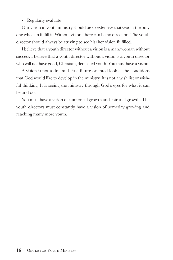#### • Regularly evaluate

Our vision in youth ministry should be so extensive that God is the only one who can fulfill it. Without vision, there can be no direction. The youth director should always be striving to see his/her vision fulfilled.

I believe that a youth director without a vision is a man/woman without success. I believe that a youth director without a vision is a youth director who will not have good, Christian, dedicated youth. You must have a vision.

A vision is not a dream. It is a future oriented look at the conditions that God would like to develop in the ministry. It is not a wish list or wishful thinking. It is seeing the ministry through God's eyes for what it can be and do.

You must have a vision of numerical growth and spiritual growth. The youth directors must constantly have a vision of someday growing and reaching many more youth.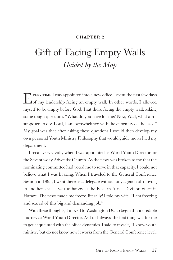#### **CHAPTER 2**

## Gift of Facing Empty Walls *Guided by the Map*

**EVERY TIME** I was appointed into a new office I spent the first few days of my leadership facing an empty wall. In other words, I allowed myself to be empty before God. I sat there facing the empty wall, asking some tough questions. "What do you have for me? Now, Wall, what am I supposed to do? Lord, I am overwhelmed with the enormity of the task!" My goal was that after asking these questions I would then develop my own personal Youth Ministry Philosophy that would guide me as I led my department.

I recall very vividly when I was appointed as World Youth Director for the Seventh-day Adventist Church. As the news was broken to me that the nominating committee had voted me to serve in that capacity, I could not believe what I was hearing. When I traveled to the General Conference Session in 1995, I went there as a delegate without any agenda of moving to another level. I was so happy at the Eastern Africa Division office in Harare. The news made me freeze, literally! I told my wife. "I am freezing and scared of this big and demanding job."

With these thoughts, I moved to Washington DC to begin this incredible journey as World Youth Director. As I did always, the first thing was for me to get acquainted with the office dynamics. I said to myself, "I know youth ministry but do not know how it works from the General Conference level.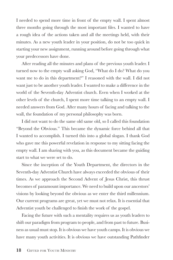I needed to spend more time in front of the empty wall. I spent almost three months going through the most important files. I wanted to have a rough idea of the actions taken and all the meetings held, with their minutes. As a new youth leader in your position, do not be too quick in starting your new assignment, running around before going through what your predecessors have done.

After reading all the minutes and plans of the previous youth leader. I turned now to the empty wall asking God, "What do I do? What do you want me to do in this department?" I reasoned with the wall. I did not want just to be another youth leader. I wanted to make a difference in the world of the Seventh-day Adventist church. Even when I worked at the other levels of the church, I spent more time talking to an empty wall. I needed answers from God. After many hours of facing and talking to the wall, the foundation of my personal philosophy was born.

I did not want to do the same old same old, so I called this foundation "Beyond the Obvious." This became the dynamic force behind all that I wanted to accomplish. I turned this into a global slogan. I thank God who gave me this powerful revelation in response to my sitting facing the empty wall. I am sharing with you, as this document became the guiding start to what we were set to do.

Since the inception of the Youth Department, the directors in the Seventh-day Adventist Church have always exceeded the obvious of their times. As we approach the Second Advent of Jesus Christ, this thrust becomes of paramount importance. We need to build upon our ancestors' visions by looking beyond the obvious as we enter the third millennium. Our current programs are great, yet we must not relax. It is essential that Adventist youth be challenged to finish the work of the gospel.

Facing the future with such a mentality requires us as youth leaders to shift our paradigm from program to people, and from past to future. Business as usual must stop. It is obvious we have youth camps. It is obvious we have many youth activities. It is obvious we have outstanding Pathfinder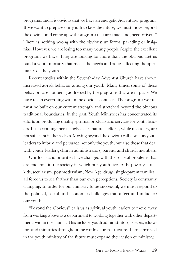programs, and it is obvious that we have an energetic Adventurer program. If we want to prepare our youth to face the future, we must move beyond the obvious and come up with programs that are issue- and, need-driven." There is nothing wrong with the obvious: uniforms, parading or insignias. However, we are losing too many young people despite the excellent programs we have. They are looking for more than the obvious. Let us build a youth ministry that meets the needs and issues affecting the spirituality of the youth.

Recent studies within the Seventh-day Adventist Church have shown increased at-risk behavior among our youth. Many times, some of these behaviors are not being addressed by the programs that are in place. We have taken everything within the obvious contexts. The programs we run must be built on our current strength and stretched beyond the obvious traditional boundaries. In the past, Youth Ministries has concentrated its efforts on producing quality spiritual products and services for youth leaders. It is becoming increasingly clear that such efforts, while necessary, are not sufficient in themselves. Moving beyond the obvious calls for us as youth leaders to inform and persuade not only the youth, but also those that deal with youth–leaders, church administrators, parents and church members.

Our focus and priorities have changed with the societal problems that are endemic in the society in which our youth live. Aids, poverty, street kids, secularism, postmodernism, New Age, drugs, single-parent families– all force us to see farther than our own perceptions. Society is constantly changing. In order for our ministry to be successful, we must respond to the political, social and economic challenges that affect and influence our youth.

"Beyond the Obvious" calls us as spiritual youth leaders to move away from working above as a department to working together with other departments within the church. This includes youth administrators, pastors, educators and ministries throughout the world church structure. Those involved in the youth ministry of the future must expand their vision of ministry.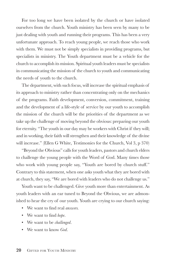For too long we have been isolated by the church or have isolated ourselves from the church. Youth ministry has been seen by many to be just dealing with youth and running their programs. This has been a very unfortunate approach. To reach young people, we reach those who work with them. We must not be simply specialists in providing programs, but specialists in ministry. The Youth department must be a vehicle for the church to accomplish its mission. Spiritual youth leaders must be specialists in communicating the mission of the church to youth and communicating the needs of youth to the church.

The department, with such focus, will increase the spiritual emphasis of its approach to ministry rather than concentrating only on the mechanics of the programs. Faith development, conversion, commitment, training and the development of a life-style of service by our youth to accomplish the mission of the church will be the priorities of the department as we take up the challenge of moving beyond the obvious: preparing our youth for eternity. "The youth in our day may be workers with Christ if they will; and in working, their faith will strengthen and their knowledge of the divine will increase." (Ellen G White, Testimonies for the Church, Vol 3, p 370)

"Beyond the Obvious" calls for youth leaders, pastors and church elders to challenge the young people with the Word of God. Many times those who work with young people say, "Youth are bored by church stuff." Contrary to this statement, when one asks youth what they are bored with at church, they say, "We are bored with leaders who do not challenge us."

Youth want to be challenged. Give youth more than entertainment. As youth leaders with an ear tuned to Beyond the Obvious, we are admonished to hear the cry of our youth. Youth are crying to our church saying:

- We want to find real *answers.*
- We want to find *hope*.
- We want to be *challenged*.
- We want to know *God*.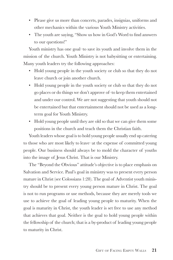- Please give us more than concerts, parades, insignias, uniforms and other mechanics within the various Youth Ministry activities.
- The youth are saying, "Show us how in God's Word to find answers to our questions!"

Youth ministry has one goal–to save its youth and involve them in the mission of the church. Youth Ministry is not babysitting or entertaining. Many youth leaders try the following approaches:

- Hold young people in the youth society or club so that they do not leave church or join another church.
- Hold young people in the youth society or club so that they do not go places or do things we don't approve of–to keep them entertained and under our control. We are not suggesting that youth should not be entertained but that entertainment should not be used as a longterm goal for Youth Ministry.
- Hold young people until they are old so that we can give them some positions in the church and teach them the Christian faith.

Youth leaders whose goal is to hold young people usually end up catering to those who are most likely to leave–at the expense of committed young people. Our business should always be to mold the character of youths into the image of Jesus Christ. That is our Ministry.

The "Beyond the Obvious" attitude's objective is to place emphasis on Salvation and Service. Paul's goal in ministry was to present every person mature in Christ (see Colossians 1:28). The goal of Adventist youth ministry should be to present every young person mature in Christ. The goal is not to run programs or use methods, because they are merely tools we use to achieve the goal of leading young people to maturity. When the goal is maturity in Christ, the youth leader is set free to use any method that achieves that goal. Neither is the goal to hold young people within the fellowship of the church; that is a by-product of leading young people to maturity in Christ.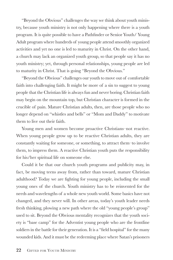"Beyond the Obvious" challenges the way we think about youth ministry, because youth ministry is not only happening where there is a youth program. It is quite possible to have a Pathfinder or Senior Youth/ Young Adult program where hundreds of young people attend smoothly organized activities and yet no one is led to maturity in Christ. On the other hand, a church may lack an organized youth group, so that people say it has no youth ministry; yet, through personal relationships, young people are led to maturity in Christ. That is going "Beyond the Obvious."

"Beyond the Obvious" challenges our youth to move out of comfortable faith into challenging faith. It might be more of a sin to suggest to young people that the Christian life is always fun and never boring. Christian faith may begin on the mountain top, but Christian character is formed in the crucible of pain. Mature Christian adults, then, are those people who no longer depend on "whistles and bells" or "Mom and Daddy" to motivate them to live out their faith.

Young men and women become proactive Christians–not reactive. When young people grow up to be reactive Christian adults, they are constantly waiting for someone, or something, to attract them–to involve them, to impress them. A reactive Christian youth puts the responsibility for his/her spiritual life on someone else.

Could it be that our church youth programs and publicity may, in fact, be moving teens away from, rather than toward, mature Christian adulthood? Today we are fighting for young people, including the small young ones of the church. Youth ministry has to be reinvented for the needs and wavelengths of a whole new youth world. Some basics have not changed, and they never will. In other areas, today's youth leader needs fresh thinking, plowing a new path where the old "young people's group" used to sit. Beyond the Obvious mentality recognizes that the youth society is "base camp" for the Adventist young people who are the frontline soldiers in the battle for their generation. It is a "field hospital" for the many wounded kids. And it must be the redeeming place where Satan's prisoners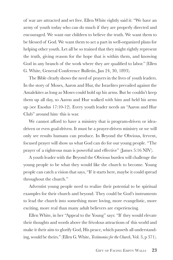of war are attracted and set free. Ellen White rightly said it: "We have an army of youth today who can do much if they are properly directed and encouraged. We want our children to believe the truth. We want them to be blessed of God. We want them to act a part in well-organized plans for helping other youth. Let all be so trained that they might rightly represent the truth, giving reason for the hope that is within them, and knowing God in any branch of the work where they are qualified to labor." (Ellen G. White, General Conference Bulletin, Jan 24, 30, 1893).

The Bible clearly shows the need of prayers in the lives of youth leaders. In the story of Moses, Aaron and Hur, the Israelites prevailed against the Amalekites as long as Moses could hold up his arms. But he couldn't keep them up all day, so Aaron and Hur walked with him and held his arms up (see Exodus 17:10-12). Every youth leader needs an "Aaron and Hur Club" around him–this is war.

We cannot afford to have a ministry that is program-driven or ideadriven or even goal-driven. It must be a prayer-driven ministry or we will only see results humans can produce. In Beyond the Obvious, fervent, focused prayer will show us what God can do for our young people. "The prayer of a righteous man is powerful and effective" (James 5:16 NIV).

A youth leader with the Beyond the Obvious burden will challenge the young people to be what they would like the church to become. Young people can catch a vision that says, "If it starts here, maybe it could spread throughout the church."

Adventist young people need to realize their potential to be spiritual examples for their church and beyond. They could be God's instruments to lead the church into something more loving, more evangelistic, more exciting, more real than many adult believers are experiencing.

Ellen White, in her "Appeal to the Young" says: "If they would elevate their thoughts and words above the frivolous attractions of this world and make it their aim to glorify God, His peace, which passeth all understanding, would be theirs." (Ellen G. White, *Testimonies for the Church*, Vol. 3, p 371).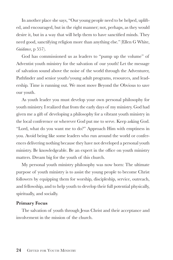In another place she says, "Our young people need to be helped, uplifted, and encouraged, but in the right manner; not, perhaps, as they would desire it, but in a way that will help them to have sanctified minds. They need good, sanctifying religion more than anything else." (Ellen G White, *Guidance*, p 557).

God has commissioned us as leaders to "pump up the volume" of Adventist youth ministry for the salvation of our youth! Let the message of salvation sound above the noise of the world through the Adventurer, Pathfinder and senior youth/young adult programs, resources, and leadership. Time is running out. We most move Beyond the Obvious to save our youth.

As youth leader you must develop your own personal philosophy for youth ministry. I realized that from the early days of my ministry. God had given me a gift of developing a philosophy for a vibrant youth ministry in the local conference or wherever God put me to serve. Keep asking God. "Lord, what do you want me to do?" Approach Him with emptiness in you. Avoid being like some leaders who run around the world or conferences delivering nothing because they have not developed a personal youth ministry. Be knowledgeable. Be an expert in the office on youth ministry matters. Dream big for the youth of this church.

My personal youth ministry philosophy was now born: The ultimate purpose of youth ministry is to assist the young people to become Christ followers by equipping them for worship, discipleship, service, outreach, and fellowship, and to help youth to develop their full potential physically, spiritually, and socially.

#### **Primary Focus**

The salvation of youth through Jesus Christ and their acceptance and involvement in the mission of the church.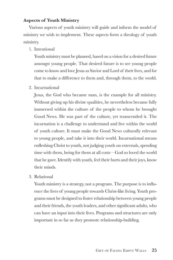#### **Aspects of Youth Ministry**

Various aspects of youth ministry will guide and inform the model of ministry we wish to implement. These aspects form a theology of youth ministry.

1. Intentional

Youth ministry must be planned, based on a vision for a desired future amongst young people. That desired future is to see young people come to know and love Jesus as Savior and Lord of their lives, and for that to make a difference to them and, through them, to the world.

2. Incarnational

Jesus, the God who became man, is the example for all ministry. Without giving up his divine qualities, he nevertheless became fully immersed within the culture of the people to whom he brought Good News. He was part of the culture, yet transcended it. The incarnation is a challenge to understand and live within the world of youth culture. It must make the Good News culturally relevant to young people, and take it into their world. Incarnational means enfleshing Christ to youth, not judging youth on externals, spending time with them, being for them at all costs—God so loved the world that he gave. Identify with youth, feel their hurts and their joys, know their minds.

3. Relational

Youth ministry is a strategy, not a program. The purpose is to influence the lives of young people towards Christ-like living. Youth programs must be designed to foster relationship between young people and their friends, the youth leaders, and other significant adults, who can have an input into their lives. Programs and structures are only important in so far as they promote relationship-building.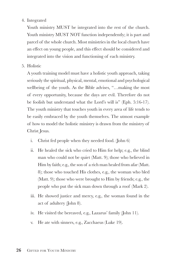#### 4. Integrated

Youth ministry MUST be integrated into the rest of the church. Youth ministry MUST NOT function independently; it is part and parcel of the whole church. Most ministries in the local church have an effect on young people, and this effect should be considered and integrated into the vision and functioning of each ministry.

5. Holistic

A youth training model must have a holistic youth approach, taking seriously the spiritual, physical, mental, emotional and psychological wellbeing of the youth. As the Bible advises, "…making the most of every opportunity, because the days are evil. Therefore do not be foolish but understand what the Lord's will is" (Eph. 5:16-17). The youth ministry that touches youth in every area of life tends to be easily embraced by the youth themselves. The utmost example of how to model the holistic ministry is drawn from the ministry of Christ Jesus.

- i. Christ fed people when they needed food. (John 6)
- ii. He healed the sick who cried to Him for help; e.g., the blind man who could not be quiet (Matt. 9); those who believed in Him by faith; e.g., the son of a rich man healed from afar (Matt. 8); those who touched His clothes, e.g., the woman who bled (Matt. 9); those who were brought to Him by friends; e.g., the people who put the sick man down through a roof (Mark 2).
- iii. He showed justice and mercy, e.g., the woman found in the act of adultery (John 8).
- iv. He visited the bereaved, e.g., Lazarus' family (John 11).
- v. He ate with sinners, e.g., Zacchaeus (Luke 19).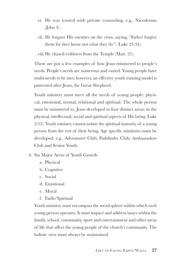- vi. He was trusted with private counseling, e.g., Nicodemus (John 3).
- vii. He forgave His enemies on the cross, saying, "Father forgive them for they know not what they do") (Luke 23:34).

viii.He chased evildoers from the Temple (Matt. 21).

These are just a few examples of how Jesus ministered to people's needs. People's needs are numerous and varied. Young people have multi-needs to be met; however, an effective youth training model is patterned after Jesus, the Great Shepherd.

Youth ministry must meet all the needs of young people: physical, emotional, mental, relational and spiritual. The whole person must be ministered to. Jesus developed in four distinct areas: in the physical, intellectual, social and spiritual aspects of His being (Luke 2:52). Youth ministry cannot isolate the spiritual maturity of a young person from the rest of their being. Age specific ministries must be developed; e.g., Adventurer Club, Pathfinder Club, Ambassadors Club and Senior Youth.

#### 6. Six Major Areas of Youth Growth

- a. Physical
- b. Cognitive
- c. Social
- d. Emotional
- e. Moral
- f. Faith/Spiritual

Youth ministry must encompass the social sphere within which each young person operates. It must impact and address issues within the family, school, community, sport and entertainment and other areas of life that affect the young people of the church's community. The holistic view must always be maintained.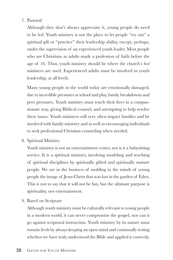#### 7. Pastoral

Although they don't always appreciate it, young people do need to be led. Youth ministry is not the place to let people "try out" a spiritual gift or "practice" their leadership ability, except, perhaps, under the supervision of an experienced youth leader. Most people who are Christians as adults made a profession of faith before the age of 16. Thus, youth ministry should be where the church's *best* ministers are used. Experienced adults must be involved in youth leadership, at all levels.

Many young people in the world today are emotionally damaged, due to incredible pressures at school and play, family breakdowns and peer pressures. Youth ministry must touch their lives in a compassionate way, giving Biblical counsel, and attempting to help resolve these issues. Youth ministers will very often impact families and be involved with family ministry and as well as encouraging individuals to seek professional Christian counseling when needed.

8. Spiritual Ministry

Youth ministry is not an entertainment center, nor is it a babysitting service. It is a spiritual ministry, involving modeling and teaching of spiritual disciplines by spiritually gifted and spiritually mature people. We are in the business of molding in the minds of young people the image of Jesus Christ that was lost in the garden of Eden. This is not to say that it will not be fun, but the ultimate purpose is spirituality, not entertainment.

9. Based on Scripture

Although youth ministry must be culturally relevant to young people in a modern world, it can never compromise the gospel, nor can it go against scriptural instruction. Youth ministry by its nature must remain fresh by always keeping an open mind and continually testing whether we have truly understood the Bible and applied it correctly.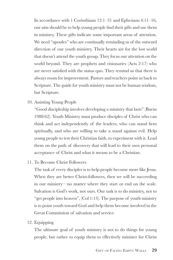In accordance with 1 Corinthians 12:1–31 and Ephesians 4:11–16, our aim should be to help young people find their gifts and use them in ministry. These gifts indicate some important areas of attention. We need "apostles" who are continually reminding us of the outward direction of our youth ministry. Their hearts are for the lost world that doesn't attend the youth group. They focus our attention on the world beyond. They are prophets and visionaries (Acts 2:17) who are never satisfied with the status quo. They remind us that there is always room for improvement. Pastors and teachers point us back to Scripture. The guide for youth ministry must not be human wisdom, but Scripture.

10. Assisting Young People

"Good discipleship involves developing a ministry that lasts" (Burns 1988:62). Youth Ministry must produce disciples of Christ who can think and act independently of the leaders, who can stand firm spiritually, and who are willing to take a stand against evil. Help young people to test their Christian faith, to experiment with it. Lead them on the path of discovery that will lead to their own personal acceptance of Christ and what it means to be a Christian.

11. To Become Christ Followers

The task of every discipler is to help people become more like Jesus. When they are better Christ-followers, then we will be succeeding in our ministry—no matter where they start or end on the scale. Salvation is God's work, not ours. Our task is to do ministry, not to "get people into heaven", (Col 1:13). The purpose of youth ministry is to point youth toward God and help them become involved in the Great Commission of salvation and service.

12. Equipping

The ultimate goal of youth ministry is not to do things for young people, but rather to equip them to effectively minister for Christ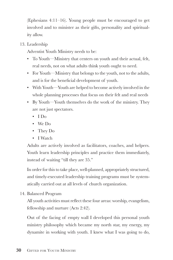(Ephesians 4:11–16). Young people must be encouraged to get involved and to minister as their gifts, personality and spirituality allow.

13. Leadership

Adventist Youth Ministry needs to be:

- To Youth—Ministry that centers on youth and their actual, felt, real needs, not on what adults think youth ought to need.
- For Youth—Ministry that belongs to the youth, not to the adults, and is for the beneficial development of youth.
- With Youth—Youth are helped to become actively involved in the whole planning processes that focus on their felt and real needs
- By Youth—Youth themselves do the work of the ministry. They are not just spectators.
	- $\cdot$  I D<sub>o</sub>
	- We Do
	- They Do
	- I Watch

Adults are actively involved as facilitators, coaches, and helpers. Youth learn leadership principles and practice them immediately, instead of waiting "till they are 35."

In order for this to take place, well-planned, appropriately structured, and timely-executed leadership training programs must be systematically carried out at all levels of church organization.

14. Balanced Program

All youth activities must reflect these four areas: worship, evangelism, fellowship and nurture (Acts 2:42).

Out of the facing of empty wall I developed this personal youth ministry philosophy which became my north star, my energy, my dynamite in working with youth. I knew what I was going to do,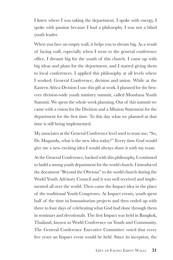I knew where I was taking the department. I spoke with energy, I spoke with passion because I had a philosophy. I was not a blind youth leader.

When you face an empty wall, it helps you to dream big. As a result of facing wall, especially when I went to the general conference office, I dreamt big for the youth of this church. I came up with big ideas and plans for the department, and I started giving them to local conferences. I applied this philosophy at all levels where I worked: General Conference, division and union. While at the Eastern Africa Division I saw this gift at work. I planned for the firstever division-wide youth ministry summit, called Mombasa Youth Summit. We spent the whole week planning. Out of this summit we came with a vision for the Division and a Mission Statement for the department for the first time. To this day what we planned at that time is still being implemented.

My associates at the General Conference level used to tease me, "So, Dr. Muganda, what is the new idea today?" Every time God would give me a new exciting idea I would always share it with my team.

At the General Conference, backed with this philosophy, I continued to build a strong youth department for the world church. I introduced the document "Beyond the Obvious" to the world church during the World Youth Advisory Council and it was well received and implemented all over the world. Then came the Impact idea in the place of the traditional Youth Congresses. At Impact events, youth spent half of the time in humanitarian projects and then ended up with three to four days of celebrating what God had done through them in seminars and devotionals. The first Impact was held in Bangkok, Thailand, known as World Conference on Youth and Community. The General Conference Executive Committee voted that every five years an Impact event would be held. Since its inception, the